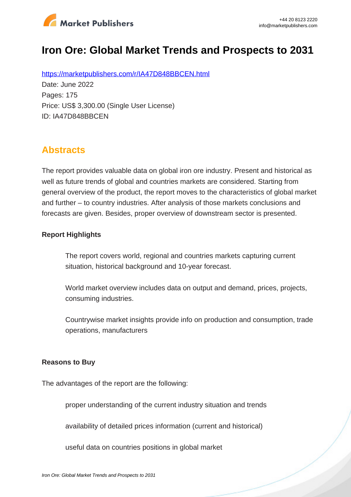

# **Iron Ore: Global Market Trends and Prospects to 2031**

https://marketpublishers.com/r/IA47D848BBCEN.html Date: June 2022 Pages: 175 Price: US\$ 3,300.00 (Single User License) ID: IA47D848BBCEN

## **Abstracts**

The report provides valuable data on global iron ore industry. Present and historical as well as future trends of global and countries markets are considered. Starting from general overview of the product, the report moves to the characteristics of global market and further – to country industries. After analysis of those markets conclusions and forecasts are given. Besides, proper overview of downstream sector is presented.

#### **Report Highlights**

The report covers world, regional and countries markets capturing current situation, historical background and 10-year forecast.

World market overview includes data on output and demand, prices, projects, consuming industries.

Countrywise market insights provide info on production and consumption, trade operations, manufacturers

#### **Reasons to Buy**

The advantages of the report are the following:

proper understanding of the current industry situation and trends

availability of detailed prices information (current and historical)

useful data on countries positions in global market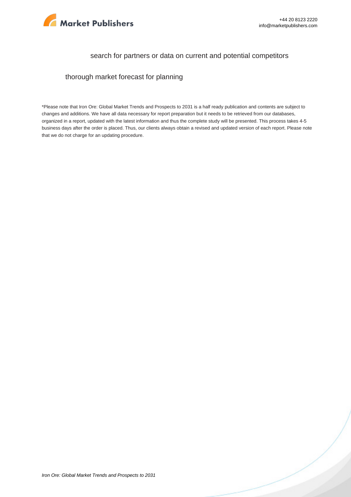

#### search for partners or data on current and potential competitors

thorough market forecast for planning

\*Please note that Iron Ore: Global Market Trends and Prospects to 2031 is a half ready publication and contents are subject to changes and additions. We have all data necessary for report preparation but it needs to be retrieved from our databases, organized in a report, updated with the latest information and thus the complete study will be presented. This process takes 4-5 business days after the order is placed. Thus, our clients always obtain a revised and updated version of each report. Please note that we do not charge for an updating procedure.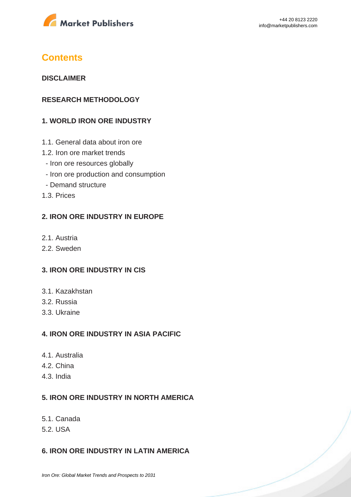

### **Contents**

#### **DISCLAIMER**

#### **RESEARCH METHODOLOGY**

#### **1. WORLD IRON ORE INDUSTRY**

- 1.1. General data about iron ore
- 1.2. Iron ore market trends
	- Iron ore resources globally
	- Iron ore production and consumption
- Demand structure
- 1.3. Prices

#### **2. IRON ORE INDUSTRY IN EUROPE**

- 2.1. Austria
- 2.2. Sweden

#### **3. IRON ORE INDUSTRY IN CIS**

- 3.1. Kazakhstan
- 3.2. Russia
- 3.3. Ukraine

#### **4. IRON ORE INDUSTRY IN ASIA PACIFIC**

- 4.1. Australia
- 4.2. China
- 4.3. India

#### **5. IRON ORE INDUSTRY IN NORTH AMERICA**

- 5.1. Canada
- 5.2. USA

#### **6. IRON ORE INDUSTRY IN LATIN AMERICA**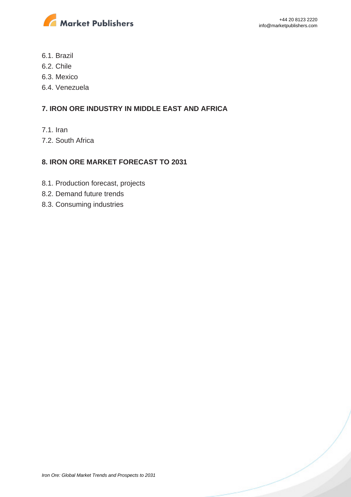

- 6.1. Brazil
- 6.2. Chile
- 6.3. Mexico
- 6.4. Venezuela

#### **7. IRON ORE INDUSTRY IN MIDDLE EAST AND AFRICA**

- 7.1. Iran
- 7.2. South Africa

#### **8. IRON ORE MARKET FORECAST TO 2031**

- 8.1. Production forecast, projects
- 8.2. Demand future trends
- 8.3. Consuming industries